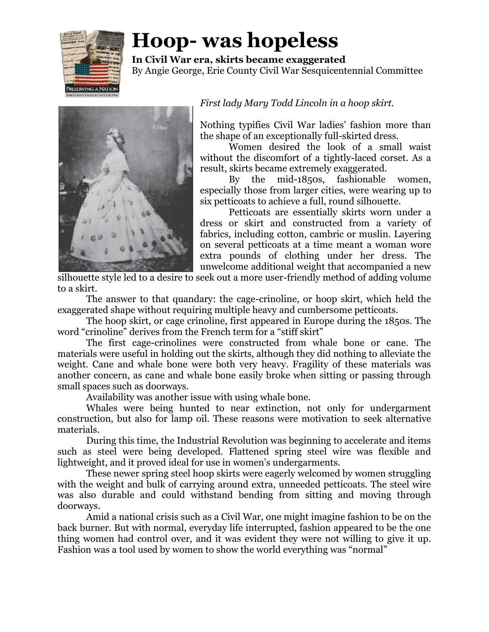

## **Hoop- was hopeless**

**In Civil War era, skirts became exaggerated** By Angie George, Erie County Civil War Sesquicentennial Committee



## *First lady Mary Todd Lincoln in a hoop skirt.*

Nothing typifies Civil War ladies' fashion more than the shape of an exceptionally full-skirted dress.

Women desired the look of a small waist without the discomfort of a tightly-laced corset. As a result, skirts became extremely exaggerated.

By the mid-1850s, fashionable women, especially those from larger cities, were wearing up to six petticoats to achieve a full, round silhouette.

Petticoats are essentially skirts worn under a dress or skirt and constructed from a variety of fabrics, including cotton, cambric or muslin. Layering on several petticoats at a time meant a woman wore extra pounds of clothing under her dress. The unwelcome additional weight that accompanied a new

silhouette style led to a desire to seek out a more user-friendly method of adding volume to a skirt.

The answer to that quandary: the cage-crinoline, or hoop skirt, which held the exaggerated shape without requiring multiple heavy and cumbersome petticoats.

The hoop skirt, or cage crinoline, first appeared in Europe during the 1850s. The word "crinoline" derives from the French term for a "stiff skirt"

The first cage-crinolines were constructed from whale bone or cane. The materials were useful in holding out the skirts, although they did nothing to alleviate the weight. Cane and whale bone were both very heavy. Fragility of these materials was another concern, as cane and whale bone easily broke when sitting or passing through small spaces such as doorways.

Availability was another issue with using whale bone.

Whales were being hunted to near extinction, not only for undergarment construction, but also for lamp oil. These reasons were motivation to seek alternative materials.

During this time, the Industrial Revolution was beginning to accelerate and items such as steel were being developed. Flattened spring steel wire was flexible and lightweight, and it proved ideal for use in women's undergarments.

These newer spring steel hoop skirts were eagerly welcomed by women struggling with the weight and bulk of carrying around extra, unneeded petticoats. The steel wire was also durable and could withstand bending from sitting and moving through doorways.

Amid a national crisis such as a Civil War, one might imagine fashion to be on the back burner. But with normal, everyday life interrupted, fashion appeared to be the one thing women had control over, and it was evident they were not willing to give it up. Fashion was a tool used by women to show the world everything was "normal"